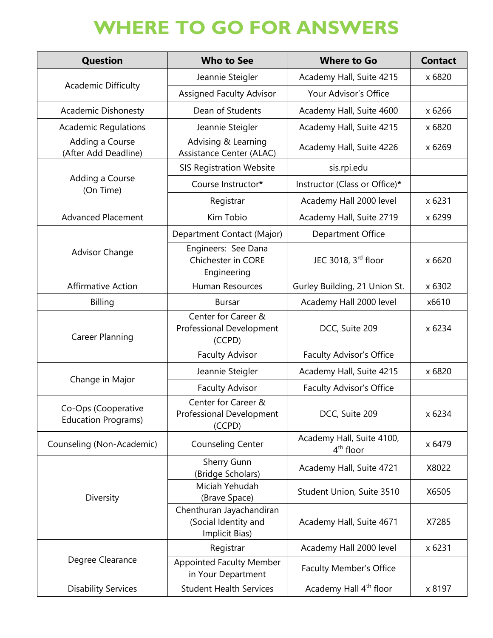## **WHERE TO GO FOR ANSWERS**

| <b>Question</b>                                   | <b>Who to See</b>                                                  | <b>Where to Go</b>                       | <b>Contact</b> |
|---------------------------------------------------|--------------------------------------------------------------------|------------------------------------------|----------------|
| <b>Academic Difficulty</b>                        | Jeannie Steigler                                                   | Academy Hall, Suite 4215                 | x 6820         |
|                                                   | <b>Assigned Faculty Advisor</b>                                    | Your Advisor's Office                    |                |
| <b>Academic Dishonesty</b>                        | Dean of Students                                                   | Academy Hall, Suite 4600                 | x 6266         |
| <b>Academic Regulations</b>                       | Jeannie Steigler                                                   | Academy Hall, Suite 4215                 | x 6820         |
| Adding a Course<br>(After Add Deadline)           | Advising & Learning<br>Assistance Center (ALAC)                    | Academy Hall, Suite 4226                 | x 6269         |
|                                                   | <b>SIS Registration Website</b>                                    | sis.rpi.edu                              |                |
| Adding a Course<br>(On Time)                      | Course Instructor*                                                 | Instructor (Class or Office)*            |                |
|                                                   | Registrar                                                          | Academy Hall 2000 level                  | x 6231         |
| <b>Advanced Placement</b>                         | Kim Tobio                                                          | Academy Hall, Suite 2719                 | x 6299         |
| <b>Advisor Change</b>                             | Department Contact (Major)                                         | Department Office                        |                |
|                                                   | Engineers: See Dana<br>Chichester in CORE<br>Engineering           | JEC 3018, 3rd floor                      | x 6620         |
| <b>Affirmative Action</b>                         | Human Resources                                                    | Gurley Building, 21 Union St.            | x 6302         |
| <b>Billing</b>                                    | <b>Bursar</b>                                                      | Academy Hall 2000 level                  | x6610          |
| <b>Career Planning</b>                            | Center for Career &<br>Professional Development<br>(CCPD)          | DCC, Suite 209                           | x 6234         |
|                                                   | <b>Faculty Advisor</b>                                             | <b>Faculty Advisor's Office</b>          |                |
|                                                   | Jeannie Steigler                                                   | Academy Hall, Suite 4215                 | x 6820         |
| Change in Major                                   | <b>Faculty Advisor</b>                                             | Faculty Advisor's Office                 |                |
| Co-Ops (Cooperative<br><b>Education Programs)</b> | Center for Career &<br><b>Professional Development</b><br>(CCPD)   | DCC, Suite 209                           | x 6234         |
| Counseling (Non-Academic)                         | <b>Counseling Center</b>                                           | Academy Hall, Suite 4100,<br>$4th$ floor | x 6479         |
| Diversity                                         | Sherry Gunn<br>(Bridge Scholars)                                   | Academy Hall, Suite 4721                 | X8022          |
|                                                   | Miciah Yehudah<br>(Brave Space)                                    | Student Union, Suite 3510                | X6505          |
|                                                   | Chenthuran Jayachandiran<br>(Social Identity and<br>Implicit Bias) | Academy Hall, Suite 4671                 | X7285          |
| Degree Clearance                                  | Registrar                                                          | Academy Hall 2000 level                  | x 6231         |
|                                                   | <b>Appointed Faculty Member</b><br>in Your Department              | Faculty Member's Office                  |                |
| <b>Disability Services</b>                        | <b>Student Health Services</b>                                     | Academy Hall 4 <sup>th</sup> floor       | x 8197         |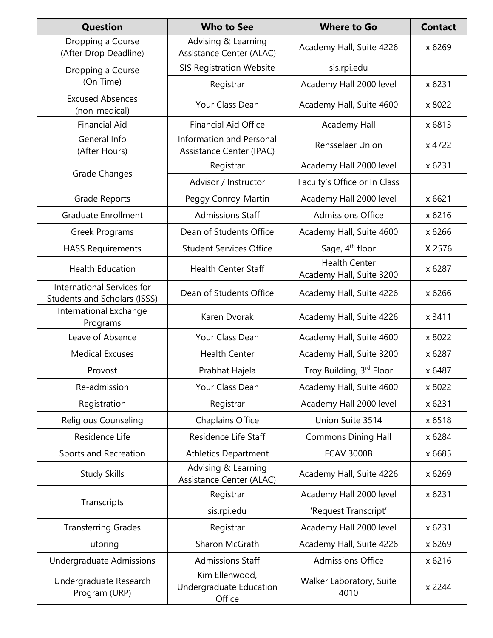| <b>Question</b>                                                   | <b>Who to See</b>                                           | <b>Where to Go</b>                               | <b>Contact</b> |
|-------------------------------------------------------------------|-------------------------------------------------------------|--------------------------------------------------|----------------|
| Dropping a Course<br>(After Drop Deadline)                        | Advising & Learning<br>Assistance Center (ALAC)             | Academy Hall, Suite 4226                         | x 6269         |
| Dropping a Course<br>(On Time)                                    | <b>SIS Registration Website</b>                             | sis.rpi.edu                                      |                |
|                                                                   | Registrar                                                   | Academy Hall 2000 level                          | x 6231         |
| <b>Excused Absences</b><br>(non-medical)                          | Your Class Dean                                             | Academy Hall, Suite 4600                         | x 8022         |
| <b>Financial Aid</b>                                              | <b>Financial Aid Office</b>                                 | <b>Academy Hall</b>                              | x 6813         |
| General Info<br>(After Hours)                                     | <b>Information and Personal</b><br>Assistance Center (IPAC) | <b>Rensselaer Union</b>                          | x 4722         |
|                                                                   | Registrar                                                   | Academy Hall 2000 level                          | x 6231         |
| Grade Changes                                                     | Advisor / Instructor                                        | Faculty's Office or In Class                     |                |
| <b>Grade Reports</b>                                              | Peggy Conroy-Martin                                         | Academy Hall 2000 level                          | x 6621         |
| <b>Graduate Enrollment</b>                                        | <b>Admissions Staff</b>                                     | <b>Admissions Office</b>                         | x 6216         |
| <b>Greek Programs</b>                                             | Dean of Students Office                                     | Academy Hall, Suite 4600                         | x 6266         |
| <b>HASS Requirements</b>                                          | <b>Student Services Office</b>                              | Sage, 4 <sup>th</sup> floor                      | X 2576         |
| <b>Health Education</b>                                           | <b>Health Center Staff</b>                                  | <b>Health Center</b><br>Academy Hall, Suite 3200 | x 6287         |
| International Services for<br><b>Students and Scholars (ISSS)</b> | Dean of Students Office                                     | Academy Hall, Suite 4226                         | x 6266         |
| International Exchange<br>Programs                                | Karen Dvorak                                                | Academy Hall, Suite 4226                         | x 3411         |
| Leave of Absence                                                  | Your Class Dean                                             | Academy Hall, Suite 4600                         | x 8022         |
| <b>Medical Excuses</b>                                            | <b>Health Center</b>                                        | Academy Hall, Suite 3200                         | x 6287         |
| Provost                                                           | Prabhat Hajela                                              | Troy Building, 3rd Floor                         | x 6487         |
| Re-admission                                                      | Your Class Dean                                             | Academy Hall, Suite 4600                         | x 8022         |
| Registration                                                      | Registrar                                                   | Academy Hall 2000 level                          | x 6231         |
| Religious Counseling                                              | <b>Chaplains Office</b>                                     | Union Suite 3514                                 | x 6518         |
| Residence Life                                                    | Residence Life Staff                                        | <b>Commons Dining Hall</b>                       | x 6284         |
| Sports and Recreation                                             | <b>Athletics Department</b>                                 | <b>ECAV 3000B</b>                                | x 6685         |
| <b>Study Skills</b>                                               | Advising & Learning<br>Assistance Center (ALAC)             | Academy Hall, Suite 4226                         | x 6269         |
|                                                                   | Registrar                                                   | Academy Hall 2000 level                          | x 6231         |
| Transcripts                                                       | sis.rpi.edu                                                 | 'Request Transcript'                             |                |
| <b>Transferring Grades</b>                                        | Registrar                                                   | Academy Hall 2000 level                          | x 6231         |
| Tutoring                                                          | Sharon McGrath                                              | Academy Hall, Suite 4226                         | x 6269         |
| <b>Undergraduate Admissions</b>                                   | <b>Admissions Staff</b>                                     | <b>Admissions Office</b>                         | x 6216         |
| Undergraduate Research<br>Program (URP)                           | Kim Ellenwood,<br>Undergraduate Education<br>Office         | Walker Laboratory, Suite<br>4010                 | x 2244         |